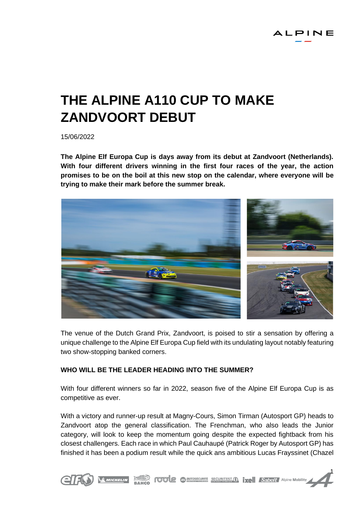# **THE ALPINE A110 CUP TO MAKE ZANDVOORT DEBUT**

15/06/2022

**The Alpine Elf Europa Cup is days away from its debut at Zandvoort (Netherlands). With four different drivers winning in the first four races of the year, the action promises to be on the boil at this new stop on the calendar, where everyone will be trying to make their mark before the summer break.**



The venue of the Dutch Grand Prix, Zandvoort, is poised to stir a sensation by offering a unique challenge to the Alpine Elf Europa Cup field with its undulating layout notably featuring two show-stopping banked corners.

# **WHO WILL BE THE LEADER HEADING INTO THE SUMMER?**

With four different winners so far in 2022, season five of the Alpine Elf Europa Cup is as competitive as ever.

With a victory and runner-up result at Magny-Cours, Simon Tirman (Autosport GP) heads to Zandvoort atop the general classification. The Frenchman, who also leads the Junior category, will look to keep the momentum going despite the expected fightback from his closest challengers. Each race in which Paul Cauhaupé (Patrick Roger by Autosport GP) has finished it has been a podium result while the quick ans ambitious Lucas Frayssinet (Chazel

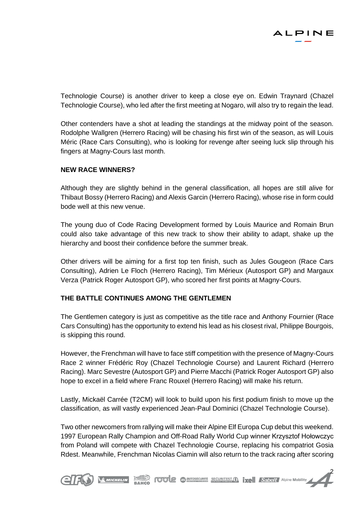

Technologie Course) is another driver to keep a close eye on. Edwin Traynard (Chazel Technologie Course), who led after the first meeting at Nogaro, will also try to regain the lead.

Other contenders have a shot at leading the standings at the midway point of the season. Rodolphe Wallgren (Herrero Racing) will be chasing his first win of the season, as will Louis Méric (Race Cars Consulting), who is looking for revenge after seeing luck slip through his fingers at Magny-Cours last month.

# **NEW RACE WINNERS?**

Although they are slightly behind in the general classification, all hopes are still alive for Thibaut Bossy (Herrero Racing) and Alexis Garcin (Herrero Racing), whose rise in form could bode well at this new venue.

The young duo of Code Racing Development formed by Louis Maurice and Romain Brun could also take advantage of this new track to show their ability to adapt, shake up the hierarchy and boost their confidence before the summer break.

Other drivers will be aiming for a first top ten finish, such as Jules Gougeon (Race Cars Consulting), Adrien Le Floch (Herrero Racing), Tim Mérieux (Autosport GP) and Margaux Verza (Patrick Roger Autosport GP), who scored her first points at Magny-Cours.

# **THE BATTLE CONTINUES AMONG THE GENTLEMEN**

The Gentlemen category is just as competitive as the title race and Anthony Fournier (Race Cars Consulting) has the opportunity to extend his lead as his closest rival, Philippe Bourgois, is skipping this round.

However, the Frenchman will have to face stiff competition with the presence of Magny-Cours Race 2 winner Frédéric Roy (Chazel Technologie Course) and Laurent Richard (Herrero Racing). Marc Sevestre (Autosport GP) and Pierre Macchi (Patrick Roger Autosport GP) also hope to excel in a field where Franc Rouxel (Herrero Racing) will make his return.

Lastly, Mickaël Carrée (T2CM) will look to build upon his first podium finish to move up the classification, as will vastly experienced Jean-Paul Dominici (Chazel Technologie Course).

Two other newcomers from rallying will make their Alpine Elf Europa Cup debut this weekend. 1997 European Rally Champion and Off-Road Rally World Cup winner Krzysztof Hołowczyc from Poland will compete with Chazel Technologie Course, replacing his compatriot Gosia Rdest. Meanwhile, Frenchman Nicolas Ciamin will also return to the track racing after scoring

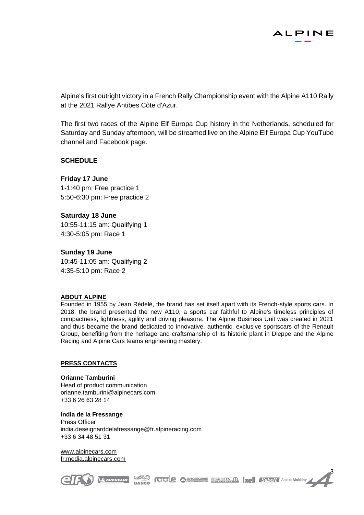

Alpine's first outright victory in a French Rally Championship event with the Alpine A110 Rally at the 2021 Rallye Antibes Côte d'Azur.

The first two races of the Alpine Elf Europa Cup history in the Netherlands, scheduled for Saturday and Sunday afternoon, will be streamed live on the Alpine Elf Europa Cup YouTube channel and Facebook page.

### **SCHEDULE**

### **Friday 17 June**

1-1:40 pm: Free practice 1 5:50-6:30 pm: Free practice 2

### **Saturday 18 June**

10:55-11:15 am: Qualifying 1 4:30-5:05 pm: Race 1

#### **Sunday 19 June**

10:45-11:05 am: Qualifying 2 4:35-5:10 pm: Race 2

#### **ABOUT ALPINE**

Founded in 1955 by Jean Rédélé, the brand has set itself apart with its French-style sports cars. In 2018, the brand presented the new A110, a sports car faithful to Alpine's timeless principles of compactness, lightness, agility and driving pleasure. The Alpine Business Unit was created in 2021 and thus became the brand dedicated to innovative, authentic, exclusive sportscars of the Renault Group, benefiting from the heritage and craftsmanship of its historic plant in Dieppe and the Alpine Racing and Alpine Cars teams engineering mastery.

#### **PRESS CONTACTS**

**Orianne Tamburini** Head of product communication [orianne.tamburini@alpinecars.com](mailto:orianne.tamburini@alpinecars.com) +33 6 26 63 28 14

**India de la Fressange** Press Officer [india.deseignarddelafressange@fr.alpineracing.com](mailto:india.deseignarddelafressange@fr.alpineracing.com) +33 6 34 48 51 31

[www.alpinecars.com](http://www.alpinecars.com/) fr.media.alpinecars.com